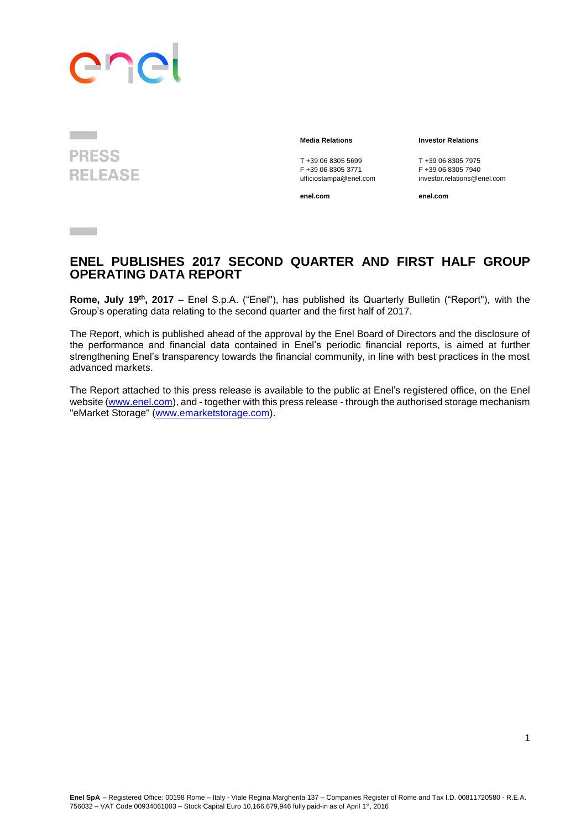# ene

**PRESS RELEASE** 

 $\sim 10^{11}$ 

T +39 06 8305 5699 T +39 06 8305 7975<br>F +39 06 8305 3771 F +39 06 8305 7940 F +39 06 8305 3771<br>ufficiostampa@enel.com

#### **Media Relations Investor Relations**

investor.relations@enel.com

**enel.com enel.com**

## **ENEL PUBLISHES 2017 SECOND QUARTER AND FIRST HALF GROUP OPERATING DATA REPORT**

**Rome, July 19th, 2017** – Enel S.p.A. ("Enel"), has published its Quarterly Bulletin ("Report"), with the Group's operating data relating to the second quarter and the first half of 2017.

The Report, which is published ahead of the approval by the Enel Board of Directors and the disclosure of the performance and financial data contained in Enel's periodic financial reports, is aimed at further strengthening Enel's transparency towards the financial community, in line with best practices in the most advanced markets.

The Report attached to this press release is available to the public at Enel's registered office, on the Enel website [\(www.enel.com\)](http://www.enel.com/), and - together with this press release - through the authorised storage mechanism "eMarket Storage" [\(www.emarketstorage.com\)](http://www.emarketstorage.com/).

1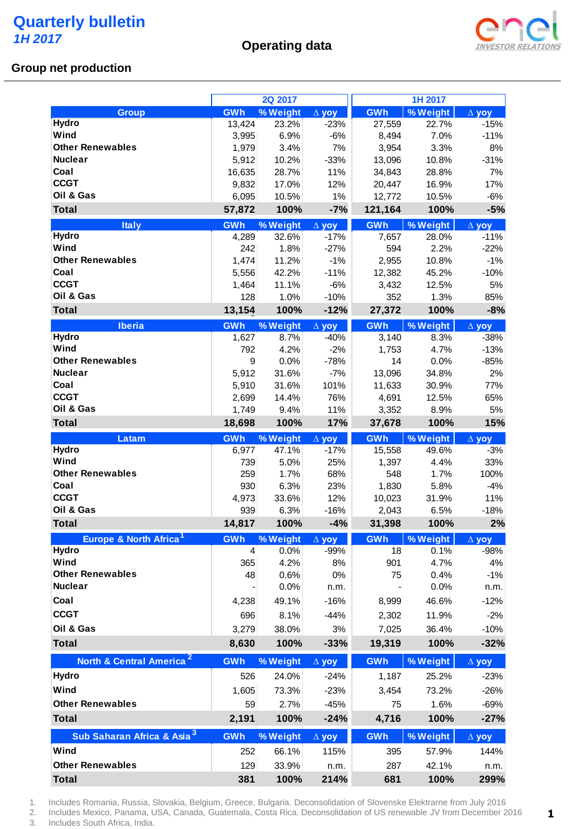**Operating data**



**1 1**

#### **Group net production**

|                                                      |                   | 2Q 2017  |              |            | 1H 2017           |                                              |
|------------------------------------------------------|-------------------|----------|--------------|------------|-------------------|----------------------------------------------|
| <b>Group</b>                                         | GWh               | % Weight | $\Delta$ yoy | <b>GWh</b> | % Weight          | $\Delta$ yoy                                 |
| <b>Hydro</b>                                         | 13,424            | 23.2%    | $-23%$       | 27,559     | 22.7%             | $-15%$                                       |
| Wind                                                 | 3,995             | 6.9%     | $-6%$        | 8,494      | 7.0%              | $-11%$                                       |
| <b>Other Renewables</b>                              | 1,979             | 3.4%     | 7%           | 3,954      | 3.3%              | 8%                                           |
| <b>Nuclear</b>                                       | 5,912             | 10.2%    | $-33%$       | 13,096     | 10.8%             | $-31%$                                       |
| Coal                                                 | 16,635            | 28.7%    | 11%          | 34,843     | 28.8%             | 7%                                           |
| <b>CCGT</b>                                          | 9,832             | 17.0%    | 12%          | 20,447     | 16.9%             | 17%                                          |
| Oil & Gas                                            | 6,095             | 10.5%    | 1%           | 12,772     | 10.5%             | $-6%$                                        |
| <b>Total</b>                                         | 57,872            | 100%     | $-7%$        | 121,164    | 100%              | $-5%$                                        |
| <b>Italy</b>                                         | GWh               | % Weight | $\Delta$ yoy | <b>GWh</b> | % Weight          | $\Delta$ yoy                                 |
| <b>Hydro</b>                                         | 4,289             | 32.6%    | $-17%$       | 7,657      | 28.0%             | $-11%$                                       |
| Wind                                                 | 242               | 1.8%     | $-27%$       | 594        | 2.2%              | $-22%$                                       |
| <b>Other Renewables</b>                              | 1,474             | 11.2%    | $-1%$        | 2,955      | 10.8%             | $-1%$                                        |
| Coal                                                 | 5,556             | 42.2%    | $-11%$       | 12,382     | 45.2%             | $-10%$                                       |
| <b>CCGT</b>                                          | 1,464             | 11.1%    | $-6%$        | 3,432      | 12.5%             | 5%                                           |
| Oil & Gas                                            | 128               | 1.0%     | $-10%$       | 352        | 1.3%              | 85%                                          |
| <b>Total</b>                                         | 13,154            | 100%     | $-12%$       | 27,372     | 100%              | $-8%$                                        |
| <b>Iberia</b>                                        | GWh               | % Weight | $\Delta$ yoy | GWh        | % Weight          | $\Delta$ yoy                                 |
| <b>Hydro</b>                                         | 1,627             | 8.7%     | $-40%$       | 3,140      | 8.3%              | $-38%$                                       |
| Wind                                                 | 792               | 4.2%     | $-2%$        | 1,753      | 4.7%              | $-13%$                                       |
| <b>Other Renewables</b>                              | 9                 | 0.0%     | $-78%$       | 14         | 0.0%              | $-85%$                                       |
| <b>Nuclear</b>                                       | 5,912             | 31.6%    | $-7%$        | 13,096     | 34.8%             | 2%                                           |
| Coal                                                 | 5,910             | 31.6%    | 101%         | 11,633     | 30.9%             | 77%                                          |
| <b>CCGT</b>                                          | 2,699             | 14.4%    | 76%          | 4,691      | 12.5%             | 65%                                          |
| Oil & Gas                                            | 1,749             | 9.4%     | 11%          | 3,352      | 8.9%              | 5%                                           |
| <b>Total</b>                                         | 18,698            | 100%     | 17%          | 37,678     | 100%              | 15%                                          |
|                                                      |                   |          |              |            |                   |                                              |
| Latam                                                | <b>GWh</b>        | % Weight | $\Delta$ yoy | <b>GWh</b> | % Weight          | $\Delta$ yoy                                 |
| Hydro                                                | 6,977             | 47.1%    | $-17%$       | 15,558     | 49.6%             | $-3%$                                        |
| Wind                                                 | 739               | 5.0%     | 25%          | 1,397      | 4.4%              | 33%                                          |
| <b>Other Renewables</b>                              | 259               | 1.7%     | 68%          | 548        | 1.7%              | 100%                                         |
| Coal                                                 | 930               | 6.3%     | 23%          | 1,830      | 5.8%              | $-4%$                                        |
| <b>CCGT</b>                                          | 4,973             | 33.6%    | 12%          | 10,023     | 31.9%             | 11%                                          |
| Oil & Gas                                            | 939               | 6.3%     | $-16%$       | 2,043      | 6.5%              | $-18%$                                       |
| <b>Total</b>                                         | 14,817            | 100%     | $-4%$        | 31,398     | 100%              |                                              |
| Europe & North Africa <sup>1</sup>                   | <b>GWh</b>        | % Weight | $\Delta$ yoy | <b>GWh</b> | % Weight          | $\Delta$ yoy                                 |
| Hydro                                                | $\overline{4}$    | 0.0%     | $-99%$       | 18         | 0.1%              | $-98%$                                       |
| Wind                                                 | 365               | 4.2%     | 8%           | 901        | 4.7%              |                                              |
| <b>Other Renewables</b>                              | 48                | 0.6%     | 0%           | 75         | 0.4%              | $-1%$                                        |
| <b>Nuclear</b>                                       |                   | 0.0%     | n.m.         |            | 0.0%              | n.m.                                         |
| Coal                                                 | 4,238             | 49.1%    | $-16%$       | 8,999      | 46.6%             | $-12%$                                       |
| <b>CCGT</b>                                          | 696               | 8.1%     | $-44%$       | 2,302      | 11.9%             | $-2\%$                                       |
| Oil & Gas                                            | 3,279             | 38.0%    | 3%           | 7,025      | 36.4%             | $-10%$                                       |
| <b>Total</b>                                         | 8,630             | 100%     | $-33%$       | 19,319     | 100%              |                                              |
|                                                      |                   |          |              |            |                   |                                              |
| North & Central America <sup>2</sup><br><b>Hydro</b> | <b>GWh</b><br>526 | % Weight | $\Delta$ yoy | <b>GWh</b> | % Weight<br>25.2% | $\Delta$ yoy                                 |
| Wind                                                 |                   | 24.0%    | $-24%$       | 1,187      |                   | $-23%$                                       |
|                                                      | 1,605             | 73.3%    | $-23%$       | 3,454      | 73.2%             | $-26%$                                       |
| <b>Other Renewables</b>                              | 59                | 2.7%     | $-45%$       | 75         | 1.6%              |                                              |
| <b>Total</b>                                         | 2,191             | 100%     | $-24%$       | 4,716      | 100%              | $-69%$                                       |
| Sub Saharan Africa & Asia <sup>3</sup>               | <b>GWh</b>        | % Weight | $\Delta$ yoy | <b>GWh</b> | % Weight          | $\Delta$ yoy                                 |
| Wind                                                 | 252               | 66.1%    | 115%         | 395        | 57.9%             | 144%                                         |
| <b>Other Renewables</b>                              | 129<br>381        | 33.9%    | n.m.<br>214% | 287<br>681 | 42.1%             | 2%<br>4%<br>$-32%$<br>$-27%$<br>n.m.<br>299% |

1. Includes Romania, Russia, Slovakia, Belgium, Greece, Bulgaria. Deconsolidation of Slovenske Elektrarne from July 2016

2. Includes Mexico, Panama, USA, Canada, Guatemala, Costa Rica. Deconsolidation of US renewable JV from December 2016 3. Includes South Africa, India.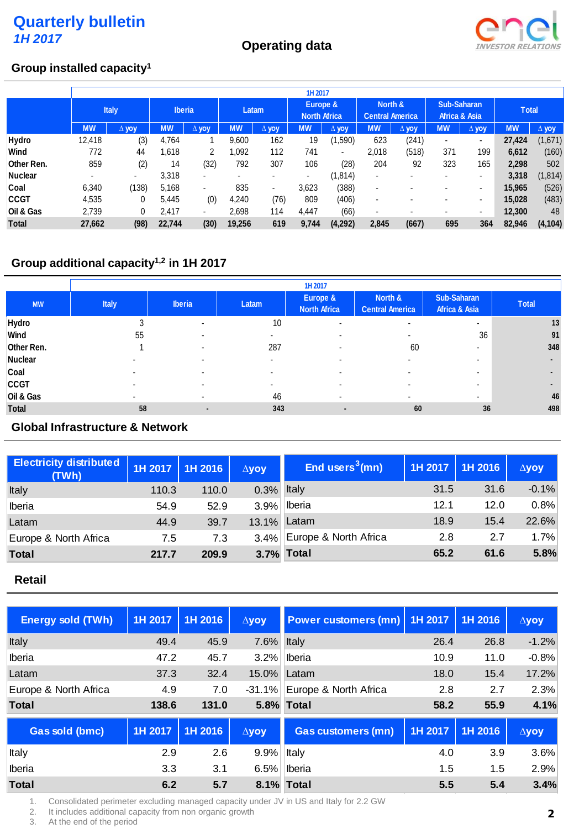

## **Group installed capacity<sup>1</sup>**

|                | Group installed capacity <sup>1</sup> |              |               |                |                          |                          |                                 |                          |                                   |                          |                              |                |              |              |
|----------------|---------------------------------------|--------------|---------------|----------------|--------------------------|--------------------------|---------------------------------|--------------------------|-----------------------------------|--------------------------|------------------------------|----------------|--------------|--------------|
|                |                                       |              |               |                |                          |                          | 1H 2017                         |                          |                                   |                          |                              |                |              |              |
|                |                                       | <b>Italy</b> | <b>Iberia</b> |                | Latam                    |                          | Europe &<br><b>North Africa</b> |                          | North &<br><b>Central America</b> |                          | Sub-Saharan<br>Africa & Asia |                | <b>Total</b> |              |
|                | <b>MW</b>                             | $\Delta$ yoy | <b>MW</b>     | $\Delta$ yov   | <b>MW</b>                | $\Delta$ yoy             | <b>MW</b>                       | $\Delta$ yoy             | <b>MW</b>                         | $\Delta$ yoy             | <b>MW</b>                    | $\Delta$ yoy   | <b>MW</b>    | $\Delta$ yoy |
| Hydro          | 12,418                                | (3)          | 4,764         |                | 9,600                    | 162                      | 19                              | (1,590)                  | 623                               | (241)                    | $\overline{\phantom{0}}$     | $\blacksquare$ | 27,424       | (1,671)      |
| Wind           | 772                                   | 44           | 1,618         | 2              | 0.092                    | 112                      | 741                             | $\overline{\phantom{0}}$ | 2,018                             | (518)                    | 371                          | 199            | 6,612        | (160)        |
| Other Ren.     | 859                                   | (2)          | 14            | (32)           | 792                      | 307                      | 106                             | (28)                     | 204                               | 92                       | 323                          | 165            | 2,298        | 502          |
| <b>Nuclear</b> | $\blacksquare$                        |              | 3,318         | $\blacksquare$ | $\overline{\phantom{0}}$ | $\overline{\phantom{a}}$ | ۰.                              | (1, 814)                 | $\blacksquare$                    | $\overline{\phantom{0}}$ | $\overline{\phantom{0}}$     | ۰              | 3,318        | (1, 814)     |
| Coal           | 6,340                                 | (138)        | 5,168         | ٠              | 835                      | ۰.                       | 3,623                           | (388)                    | $\overline{\phantom{a}}$          | $\blacksquare$           |                              | $\blacksquare$ | 15,965       | (526)        |
| <b>CCGT</b>    | 4,535                                 | 0            | 5.445         | (0)            | 4,240                    | (76)                     | 809                             | (406)                    | $\overline{\phantom{a}}$          | $\blacksquare$           |                              | $\blacksquare$ | 15,028       | (483)        |
| Oil & Gas      | 2,739                                 | 0            | 2,417         | $\blacksquare$ | 2,698                    | 114                      | 4,447                           | (66)                     | $\overline{\phantom{0}}$          | $\blacksquare$           |                              | $\blacksquare$ | 12,300       | 48           |
| <b>Total</b>   | 27,662                                | (98)         | 22.744        | (30)           | 19,256                   | 619                      | 9,744                           | (4,292)                  | 2.845                             | (667)                    | 695                          | 364            | 82.946       | (4, 104)     |

## **Group additional capacity1,2 in 1H 2017**

|              |                          | 1H 2017                  |       |                                 |                                   |                              |                |  |  |
|--------------|--------------------------|--------------------------|-------|---------------------------------|-----------------------------------|------------------------------|----------------|--|--|
| <b>MW</b>    | <b>Italy</b>             | <b>Iberia</b>            | Latam | Europe &<br><b>North Africa</b> | North &<br><b>Central America</b> | Sub-Saharan<br>Africa & Asia | <b>Total</b>   |  |  |
| Hydro        | 3                        | $\,$                     | 10    | -                               | ۰                                 | ۰                            | 13             |  |  |
| Wind         | 55                       |                          |       |                                 |                                   | 36                           | 91             |  |  |
| Other Ren.   |                          | $\overline{\phantom{a}}$ | 287   | ۰                               | 60                                | $\overline{\phantom{a}}$     | 348            |  |  |
| Nuclear      |                          | $\overline{\phantom{a}}$ |       |                                 |                                   | $\overline{\phantom{a}}$     | $\blacksquare$ |  |  |
| Coal         | -                        |                          |       |                                 |                                   | $\overline{\phantom{a}}$     | $\blacksquare$ |  |  |
| <b>CCGT</b>  | -                        |                          |       |                                 |                                   | $\overline{\phantom{a}}$     | $\blacksquare$ |  |  |
| Oil & Gas    | $\overline{\phantom{a}}$ |                          | 46    | ۰                               |                                   | $\overline{\phantom{a}}$     | 46             |  |  |
| <b>Total</b> | 58                       | -                        | 343   | $\blacksquare$                  | 60                                | 36                           | 498            |  |  |

## **Global Infrastructure & Network**

| <b>Electricity distributed</b><br>(TWh) | 1H 2017 | 1H 2016 | $\Delta$ yoy | End users <sup>3</sup> $(mn)$ | 1H 2017 | 1H 2016 | $\Delta$ yoy |
|-----------------------------------------|---------|---------|--------------|-------------------------------|---------|---------|--------------|
| Italy                                   | 110.3   | 110.0   | 0.3%         | Italy                         | 31.5    | 31.6    | $-0.1%$      |
| Iberia                                  | 54.9    | 52.9    | 3.9%         | <i>Iberia</i>                 | 12.1    | 12.0    | 0.8%         |
| Latam                                   | 44.9    | 39.7    | 13.1%        | Latam                         | 18.9    | 15.4    | 22.6%        |
| Europe & North Africa                   | 7.5     | 7.3     | $3.4\%$      | Europe & North Africa         | 2.8     | 2.7     | 1.7%         |
| <b>Total</b>                            | 217.7   | 209.9   |              | 3.7% Total                    | 65.2    | 61.6    | 5.8%         |

#### **Retail**

| <b>Energy sold (TWh)</b> | 1H 2017 | 1H 2016 | $\Delta$ yoy | <b>Power customers (mn)</b> 1H 2017 |         | 1H 2016 | $\Delta$ yoy |
|--------------------------|---------|---------|--------------|-------------------------------------|---------|---------|--------------|
| Italy                    | 49.4    | 45.9    | 7.6%         | Italy                               | 26.4    | 26.8    | $-1.2%$      |
| Iberia                   | 47.2    | 45.7    | 3.2%         | <b>Iberia</b>                       | 10.9    | 11.0    | $-0.8%$      |
| Latam                    | 37.3    | 32.4    | 15.0%        | Latam                               | 18.0    | 15.4    | 17.2%        |
| Europe & North Africa    | 4.9     | 7.0     | $-31.1%$     | Europe & North Africa               | 2.8     | 2.7     | 2.3%         |
| <b>Total</b>             | 138.6   | 131.0   |              | 5.8% Total                          | 58.2    | 55.9    | 4.1%         |
| <b>Gas sold (bmc)</b>    | 1H 2017 | 1H 2016 | $\Delta$ yoy | <b>Gas customers (mn)</b>           | 1H 2017 | 1H 2016 | $\Delta$ yoy |
| Italy                    | 2.9     | 2.6     | 9.9%         | Italy                               | 4.0     | 3.9     | 3.6%         |
| Iberia                   | 3.3     | 3.1     | 6.5%         | <b>Iberia</b>                       | 1.5     | 1.5     | 2.9%         |
| <b>Total</b>             | 6.2     | 5.7     |              | 8.1% Total                          | 5.5     | 5.4     | 3.4%         |

1. Consolidated perimeter excluding managed capacity under JV in US and Italy for 2.2 GW

2. It includes additional capacity from non organic growth<br>3. At the end of the period

At the end of the period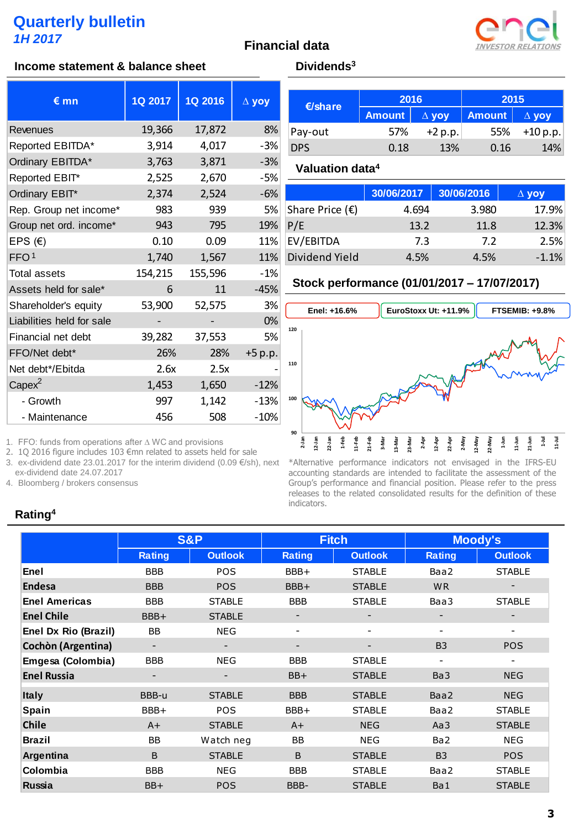#### **Financial data**



#### **Income statement & balance sheet Dividends**<sup>3</sup>

| $\epsilon$ mn             | 1Q 2017 | <b>1Q 2016</b> | $\Delta$ yoy |
|---------------------------|---------|----------------|--------------|
| Revenues                  | 19,366  | 17,872         | 8%           |
| Reported EBITDA*          | 3,914   | 4,017          | $-3%$        |
| Ordinary EBITDA*          | 3,763   | 3,871          | $-3%$        |
| Reported EBIT*            | 2,525   | 2,670          | $-5%$        |
| Ordinary EBIT*            | 2,374   | 2,524          | $-6%$        |
| Rep. Group net income*    | 983     | 939            | 5%           |
| Group net ord. income*    | 943     | 795            | 19%          |
| EPS $(E)$                 | 0.10    | 0.09           | 11%          |
| FFO <sub>1</sub>          | 1,740   | 1,567          | 11%          |
| <b>Total assets</b>       | 154,215 | 155,596        | $-1%$        |
| Assets held for sale*     | 6       | 11             | $-45%$       |
| Shareholder's equity      | 53,900  | 52,575         | 3%           |
| Liabilities held for sale |         |                | 0%           |
| Financial net debt        | 39,282  | 37,553         | 5%           |
| FFO/Net debt*             | 26%     | 28%            | +5 p.p.      |
| Net debt*/Ebitda          | 2.6x    | 2.5x           |              |
| $Capex^2$                 | 1,453   | 1,650          | $-12%$       |
| - Growth                  | 997     | 1,142          | $-13%$       |
| - Maintenance             | 456     | 508            | $-10%$       |

1. FFO: funds from operations after ∆ WC and provisions

2. 1Q 2016 figure includes 103 €mn related to assets held for sale

3. ex-dividend date 23.01.2017 for the interim dividend (0.09 €/sh), next ex-dividend date 24.07.2017

4. Bloomberg / brokers consensus

#### **Rating<sup>4</sup>**

| $\epsilon$ /share | 2016          |              | 2015          |              |  |
|-------------------|---------------|--------------|---------------|--------------|--|
|                   | <b>Amount</b> | $\Delta$ yoy | <b>Amount</b> | $\Delta$ yoy |  |
| Pay-out           | 57%           | $+2 p.p.$    | 55%           | +10 p.p.     |  |
| <b>DPS</b>        | 0.18          | 13%          | 0.16          | 14%          |  |

#### **Valuation data<sup>4</sup>**

|                          | 30/06/2017 | 30/06/2016 | $\Delta$ yoy |
|--------------------------|------------|------------|--------------|
| Share Price $(\epsilon)$ | 4.694      | 3.980      | 17.9%        |
| P/E                      | 13.2       | 11.8       | 12.3%        |
| EV/EBITDA                | 73         | 7.2        | 2.5%         |
| <b>Dividend Yield</b>    | 4.5%       | 4.5%       | $-1.1%$      |

#### **Stock performance (01/01/2017 – 17/07/2017)**



\*Alternative performance indicators not envisaged in the IFRS-EU accounting standards are intended to facilitate the assessment of the Group's performance and financial position. Please refer to the press releases to the related consolidated results for the definition of these indicators.

|                           |               | <b>S&amp;P</b>           |               | <b>Fitch</b>             | <b>Moody's</b>           |                          |  |
|---------------------------|---------------|--------------------------|---------------|--------------------------|--------------------------|--------------------------|--|
|                           | <b>Rating</b> | <b>Outlook</b>           | <b>Rating</b> | <b>Outlook</b>           | <b>Rating</b>            | <b>Outlook</b>           |  |
| Enel                      | <b>BBB</b>    | POS                      | BBB+          | <b>STABLE</b>            | Baa2                     | <b>STABLE</b>            |  |
| <b>Endesa</b>             | <b>BBB</b>    | <b>POS</b>               | BBB+          | <b>STABLE</b>            | <b>WR</b>                |                          |  |
| <b>Enel Americas</b>      | <b>BBB</b>    | <b>STABLE</b>            | <b>BBB</b>    | <b>STABLE</b>            | Baa3                     | <b>STABLE</b>            |  |
| <b>Enel Chile</b>         | BBB+          | <b>STABLE</b>            |               | -                        | -                        |                          |  |
| Enel Dx Rio (Brazil)      | <b>BB</b>     | <b>NEG</b>               |               |                          |                          |                          |  |
| <b>Cochòn (Argentina)</b> |               | $\overline{\phantom{a}}$ | -             | $\overline{\phantom{a}}$ | <b>B3</b>                | <b>POS</b>               |  |
| Emgesa (Colombia)         | <b>BBB</b>    | <b>NEG</b>               | <b>BBB</b>    | <b>STABLE</b>            | $\overline{\phantom{a}}$ | $\overline{\phantom{a}}$ |  |
| <b>Enel Russia</b>        |               | -                        | BB+           | <b>STABLE</b>            | Ba3                      | <b>NEG</b>               |  |
| <b>Italy</b>              | BBB-u         | <b>STABLE</b>            | <b>BBB</b>    | <b>STABLE</b>            | Baa2                     | <b>NEG</b>               |  |
| Spain                     | BBB+          | <b>POS</b>               | BBB+          | <b>STABLE</b>            | Baa2                     | <b>STABLE</b>            |  |
| <b>Chile</b>              | $A+$          | <b>STABLE</b>            | $A+$          | <b>NEG</b>               | Aa3                      | <b>STABLE</b>            |  |
| <b>Brazil</b>             | <b>BB</b>     | Watch neg                | <b>BB</b>     | <b>NEG</b>               | Ba <sub>2</sub>          | <b>NEG</b>               |  |
| Argentina                 | B             | <b>STABLE</b>            | B             | <b>STABLE</b>            | <b>B3</b>                | <b>POS</b>               |  |
| Colombia                  | <b>BBB</b>    | <b>NEG</b>               | <b>BBB</b>    | <b>STABLE</b>            | Baa2                     | <b>STABLE</b>            |  |
| Russia                    | BB+           | <b>POS</b>               | BBB-          | <b>STABLE</b>            | Ba1                      | <b>STABLE</b>            |  |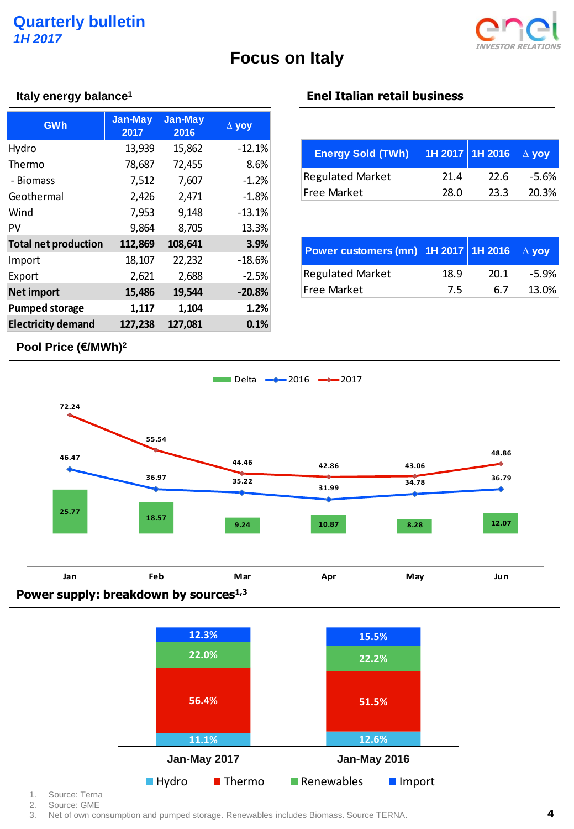

# **Focus on Italy**

| <b>GWh</b>                      | Jan-May<br>2017 | <b>Jan-May</b><br>2016 | $\Delta$ yoy |                     |
|---------------------------------|-----------------|------------------------|--------------|---------------------|
| Hydro                           | 13,939          | 15,862                 | $-12.1%$     | <b>Energy So</b>    |
| Thermo                          | 78,687          | 72,455                 | 8.6%         |                     |
| - Biomass                       | 7,512           | 7,607                  | $-1.2%$      | Regulated N         |
| Geothermal                      | 2,426           | 2,471                  | $-1.8%$      | <b>Free Market</b>  |
| Wind                            | 7,953           | 9,148                  | $-13.1%$     |                     |
| PV                              | 9,864           | 8,705                  | 13.3%        |                     |
| <b>Total net production</b>     | 112,869         | 108,641                | 3.9%         | <b>Power cust</b>   |
| Import                          | 18,107          | 22,232                 | $-18.6%$     |                     |
| Export                          | 2,621           | 2,688                  | $-2.5%$      | Regulated N         |
| <b>Net import</b>               | 15,486          | 19,544                 | $-20.8%$     | <b>Free Market</b>  |
| <b>Pumped storage</b>           | 1,117           | 1,104                  | 1.2%         |                     |
| <b>Electricity demand</b>       | 127,238         | 127,081                | 0.1%         |                     |
| Pool Price (€/MWh) <sup>2</sup> |                 |                        |              |                     |
|                                 |                 |                        | Delta        | $-2016$<br>$-$ 2017 |

## **Italy energy balance<sup>1</sup> Enel Italian retail business**

| <b>Energy Sold (TWh)</b> | 1Н 2017 1Н 2016   △ уоу |       |         |
|--------------------------|-------------------------|-------|---------|
| <b>Regulated Market</b>  | 21.4                    | -22.6 | $-5.6%$ |
| Free Market              | 28.0                    | 23.3  | 20.3%   |

| Power customers (mn) 1H 2017   1H 2016 $\vert \Delta$ yoy |      |      |       |
|-----------------------------------------------------------|------|------|-------|
| <b>Regulated Market</b>                                   | 18.9 | 20.1 | -5.9% |
| <b>Free Market</b>                                        | 7.5  | 67   | 13.0% |

## **Pool Price (€/MWh) 2**





1. Source: Terna

2. Source: GME

3. Net of own consumption and pumped storage. Renewables includes Biomass. Source TERNA.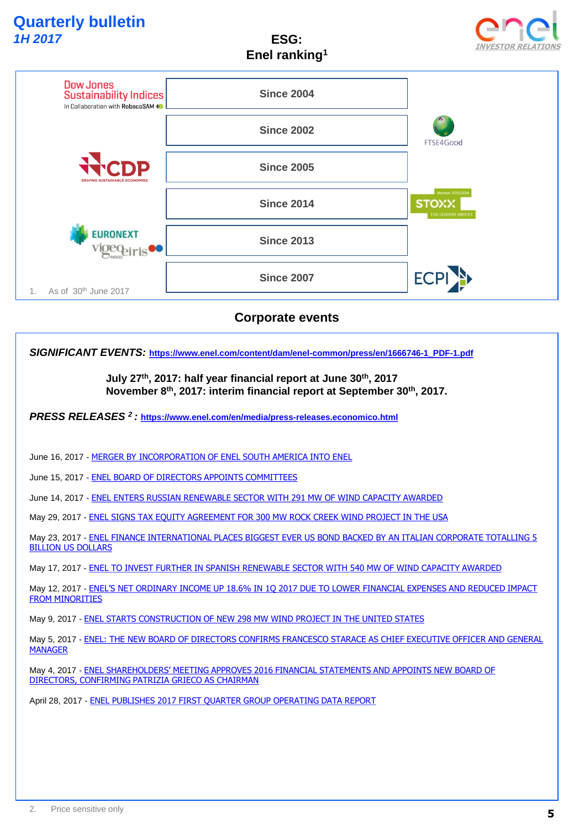**ESG: Enel ranking<sup>1</sup>**





## **Corporate events**

*SIGNIFICANT EVENTS:* **[https://www.enel.com/content/dam/enel-common/press/en/1666746-1\\_PDF-1.pdf](https://www.enel.com/content/dam/enel-common/press/en/1666746-1_PDF-1.pdf)**

**July 27th, 2017: half year financial report at June 30th, 2017 November 8th, 2017: interim financial report at September 30th, 2017.** 

*PRESS RELEASES <sup>2</sup>:* **<https://www.enel.com/en/media/press-releases.economico.html>**

June 16, 2017 - [MERGER BY INCORPORATION OF ENEL SOUTH AMERICA INTO ENEL](https://www.enel.com/en/media/press/d201706-merger-by-incorporation-of-enel-south-america-into-enel.html)

June 15, 2017 - [ENEL BOARD OF DIRECTORS APPOINTS COMMITTEES](https://www.enel.com/en/media/press/d201706-enel-board-of-directors-appoints-committees.html)

June 14, 2017 - [ENEL ENTERS RUSSIAN RENEWABLE SECTOR WITH 291 MW OF WIND CAPACITY AWARDED](https://www.enel.com/en/media/press/d201706-enel-enters-russian-renewable-sector-with-291-mw-of-wind-capacity-awarded.html)

May 29, 2017 - [ENEL SIGNS TAX EQUITY AGREEMENT FOR 300 MW ROCK CREEK WIND PROJECT IN THE USA](https://www.enel.com/en/media/press/d201705-enel-signs-tax-equity-agreement-for-300-mw-rock-creek-wind-project-in-the-usa.html)

May 23, 2017 - ENEL FINANCE INTERNATIONAL PLACES BIGGEST EVER US BOND BACKED BY AN ITALIAN CORPORATE TOTALLING 5 BILLION US DOLLARS

May 17, 2017 - [ENEL TO INVEST FURTHER IN SPANISH RENEWABLE SECTOR WITH 540 MW OF WIND CAPACITY AWARDED](https://www.enel.com/en/media/press/d201705-enel-to-invest-further-in-spanish-renewable-sector-with-540-mw-of-wind-capacity-awarded.html)

May 12, 2017 - [ENEL'S NET ORDINARY INCOME UP 18.6% IN 1Q 2017 DUE TO LOWER FINANCIAL EXPENSES AND REDUCED IMPACT](https://www.enel.com/en/media/press/d201705-enels-net-ordinary-income-up-186-in-1q-2017-due-to-lower-financial-expenses-and-reduced-impact-from-minorities-.html)  **FROM MINORITIES** 

May 9, 2017 - [ENEL STARTS CONSTRUCTION OF NEW 298 MW WIND PROJECT IN THE UNITED STATES](https://www.enel.com/en/media/press/d201705-enel-starts-construction-of-new-298-mw-wind-project-in-the-united-states-.html)

May 5, 2017 - [ENEL: THE NEW BOARD OF DIRECTORS CONFIRMS FRANCESCO STARACE AS CHIEF EXECUTIVE OFFICER AND GENERAL](https://www.enel.com/en/media/press/d201705-enel-the-new-board-of-directors-confirms-francesco-starace-as-chief-executive-officer-and-general-manager.html)  MANAGER

May 4, 2017 - ENEL [SHAREHOLDERS' MEETING APPROVES 2016 FINANCIAL STATEMENTS AND APPOINTS NEW BOARD OF](https://www.enel.com/en/media/press/d201705-enel-shareholders-meeting-approves-2016-financial-statements-and-appoints-new-board-of-directors-confirming-patrizia-grieco-as-chairman.html)  DIRECTORS, CONFIRMING PATRIZIA GRIECO AS CHAIRMAN

April 28, 2017 - [ENEL PUBLISHES 2017 FIRST QUARTER GROUP OPERATING DATA REPORT](https://www.enel.com/en/media/press/d201704-enel-publishes-2017-first-quarter-group-operating-data-report.html)